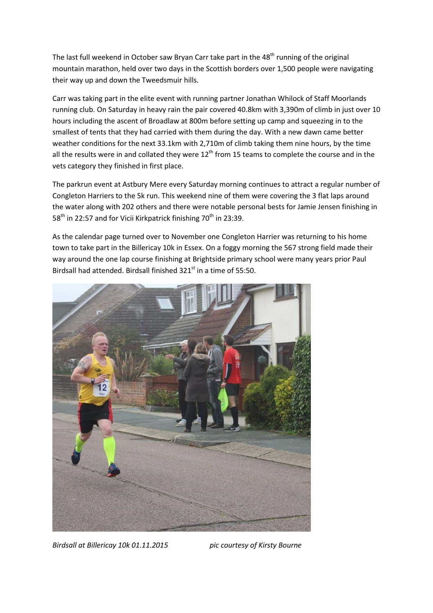The last full weekend in October saw Bryan Carr take part in the 48<sup>th</sup> running of the original mountain marathon, held over two days in the Scottish borders over 1,500 people were navigating their way up and down the Tweedsmuir hills.

Carr was taking part in the elite event with running partner Jonathan Whilock of Staff Moorlands running club. On Saturday in heavy rain the pair covered 40.8km with 3,390m of climb in just over 10 hours including the ascent of Broadlaw at 800m before setting up camp and squeezing in to the smallest of tents that they had carried with them during the day. With a new dawn came better weather conditions for the next 33.1km with 2,710m of climb taking them nine hours, by the time all the results were in and collated they were  $12<sup>th</sup>$  from 15 teams to complete the course and in the vets category they finished in first place.

The parkrun event at Astbury Mere every Saturday morning continues to attract a regular number of Congleton Harriers to the 5k run. This weekend nine of them were covering the 3 flat laps around the water along with 202 others and there were notable personal bests for Jamie Jensen finishing in  $58<sup>th</sup>$  in 22:57 and for Vicii Kirkpatrick finishing 70<sup>th</sup> in 23:39.

As the calendar page turned over to November one Congleton Harrier was returning to his home town to take part in the Billericay 10k in Essex. On a foggy morning the 567 strong field made their way around the one lap course finishing at Brightside primary school were many years prior Paul Birdsall had attended. Birdsall finished  $321<sup>st</sup>$  in a time of 55:50.



Birdsall at Billericay 10k 01.11.2015 pic courtesy of Kirsty Bourne